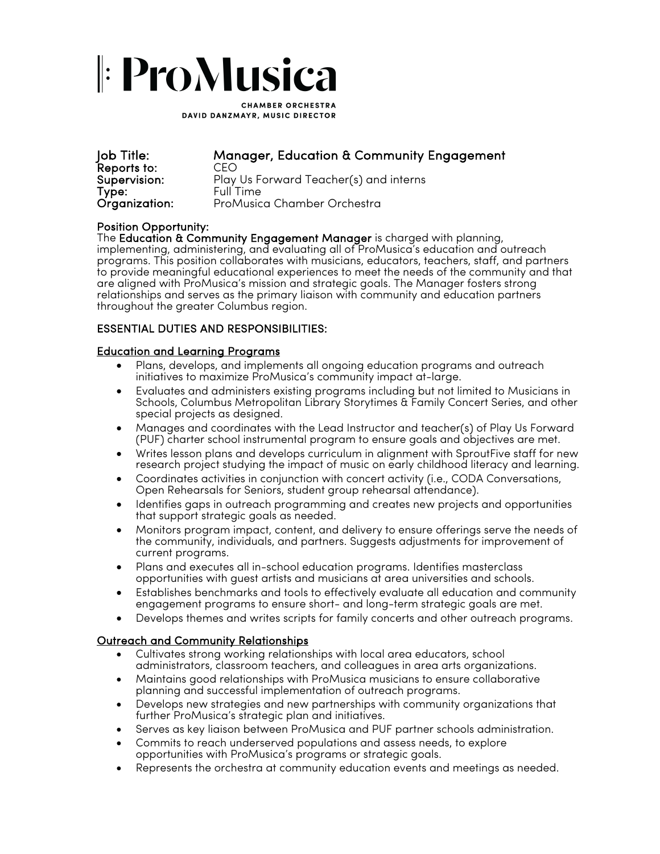# |: ProMusica

**CHAMBER ORCHESTRA** DAVID DANZMAYR, MUSIC DIRECTOR

| Job Title:    |
|---------------|
| Reports to:   |
| Supervision:  |
| Type:         |
| Organization: |

## Manager, Education & Community Engagement

Reports to: CEO Play Us Forward Teacher(s) and interns Full Time ProMusica Chamber Orchestra

Position Opportunity:<br>The Education & Community Engagement Manager is charged with planning, implementing, administering, and evaluating all of ProMusica's education and outreach programs. This position collaborates with musicians, educators, teachers, staff, and partners to provide meaningful educational experiences to meet the needs of the community and that are aligned with ProMusica's mission and strategic goals. The Manager fosters strong relationships and serves as the primary liaison with community and education partners throughout the greater Columbus region.

### ESSENTIAL DUTIES AND RESPONSIBILITIES:

#### Education and Learning Programs

- Plans, develops, and implements all ongoing education programs and outreach initiatives to maximize ProMusica's community impact at-large.
- Evaluates and administers existing programs including but not limited to Musicians in Schools, Columbus Metropolitan Library Storytimes & Family Concert Series, and other special projects as designed.
- Manages and coordinates with the Lead Instructor and teacher(s) of Play Us Forward (PUF) charter school instrumental program to ensure goals and objectives are met.
- Writes lesson plans and develops curriculum in alignment with SproutFive staff for new research project studying the impact of music on early childhood literacy and learning.
- Coordinates activities in conjunction with concert activity (i.e., CODA Conversations, Open Rehearsals for Seniors, student group rehearsal attendance).
- Identifies gaps in outreach programming and creates new projects and opportunities that support strategic goals as needed.
- Monitors program impact, content, and delivery to ensure offerings serve the needs of the community, individuals, and partners. Suggests adjustments for improvement of current programs.
- Plans and executes all in-school education programs. Identifies masterclass opportunities with guest artists and musicians at area universities and schools.
- Establishes benchmarks and tools to effectively evaluate all education and community engagement programs to ensure short- and long-term strategic goals are met.
- Develops themes and writes scripts for family concerts and other outreach programs.

### Outreach and Community Relationships

- Cultivates strong working relationships with local area educators, school administrators, classroom teachers, and colleagues in area arts organizations.
- Maintains good relationships with ProMusica musicians to ensure collaborative planning and successful implementation of outreach programs.
- Develops new strategies and new partnerships with community organizations that further ProMusica's strategic plan and initiatives.
- Serves as key liaison between ProMusica and PUF partner schools administration.
- Commits to reach underserved populations and assess needs, to explore opportunities with ProMusica's programs or strategic goals.
- Represents the orchestra at community education events and meetings as needed.